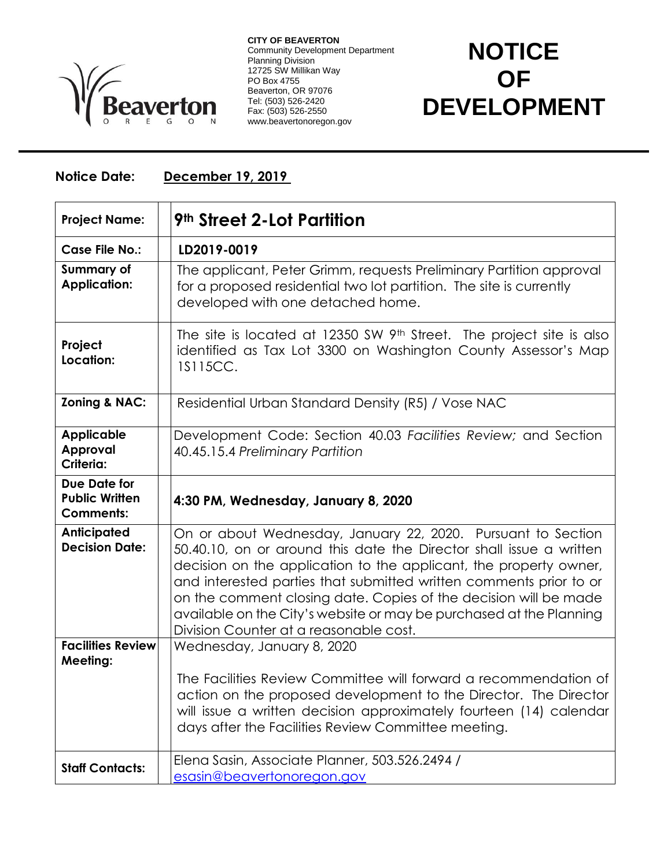

**CITY OF BEAVERTON** Community Development Department Planning Division 12725 SW Millikan Way PO Box 4755 Beaverton, OR 97076 Tel: (503) 526-2420 Fax: (503) 526-2550 www.beavertonoregon.gov

## **NOTICE OF DEVELOPMENT**

## **Notice Date: December 19, 2019**

| <b>Project Name:</b>                                             | <b>9th Street 2-Lot Partition</b>                                                                                                                                                                                                                                                                                                                                                                                                                                   |
|------------------------------------------------------------------|---------------------------------------------------------------------------------------------------------------------------------------------------------------------------------------------------------------------------------------------------------------------------------------------------------------------------------------------------------------------------------------------------------------------------------------------------------------------|
| <b>Case File No.:</b>                                            | LD2019-0019                                                                                                                                                                                                                                                                                                                                                                                                                                                         |
| <b>Summary of</b><br><b>Application:</b>                         | The applicant, Peter Grimm, requests Preliminary Partition approval<br>for a proposed residential two lot partition. The site is currently<br>developed with one detached home.                                                                                                                                                                                                                                                                                     |
| Project<br>Location:                                             | The site is located at 12350 SW 9 <sup>th</sup> Street. The project site is also<br>identified as Tax Lot 3300 on Washington County Assessor's Map<br>1S115CC.                                                                                                                                                                                                                                                                                                      |
| Zoning & NAC:                                                    | Residential Urban Standard Density (R5) / Vose NAC                                                                                                                                                                                                                                                                                                                                                                                                                  |
| <b>Applicable</b><br>Approval<br>Criteria:                       | Development Code: Section 40.03 Facilities Review; and Section<br>40.45.15.4 Preliminary Partition                                                                                                                                                                                                                                                                                                                                                                  |
| <b>Due Date for</b><br><b>Public Written</b><br><b>Comments:</b> | 4:30 PM, Wednesday, January 8, 2020                                                                                                                                                                                                                                                                                                                                                                                                                                 |
| <b>Anticipated</b><br><b>Decision Date:</b>                      | On or about Wednesday, January 22, 2020. Pursuant to Section<br>50.40.10, on or around this date the Director shall issue a written<br>decision on the application to the applicant, the property owner,<br>and interested parties that submitted written comments prior to or<br>on the comment closing date. Copies of the decision will be made<br>available on the City's website or may be purchased at the Planning<br>Division Counter at a reasonable cost. |
| <b>Facilities Review</b><br><b>Meeting:</b>                      | Wednesday, January 8, 2020<br>The Facilities Review Committee will forward a recommendation of<br>action on the proposed development to the Director. The Director<br>will issue a written decision approximately fourteen (14) calendar                                                                                                                                                                                                                            |
|                                                                  | days after the Facilities Review Committee meeting.                                                                                                                                                                                                                                                                                                                                                                                                                 |
| <b>Staff Contacts:</b>                                           | Elena Sasin, Associate Planner, 503.526.2494 /<br>esasin@beavertonoregon.gov                                                                                                                                                                                                                                                                                                                                                                                        |